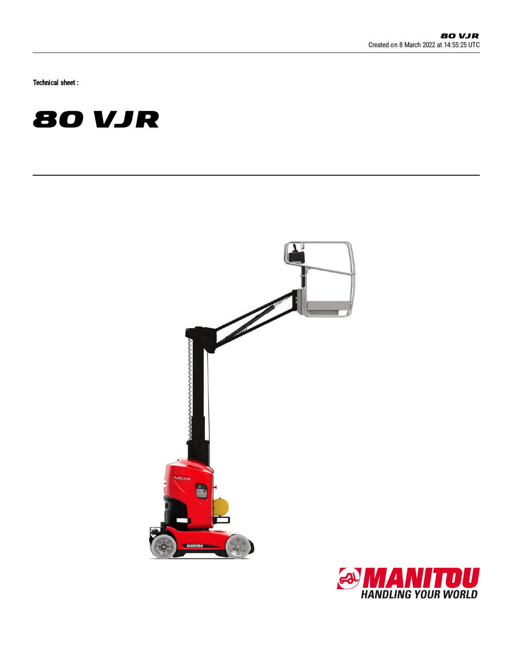Technical sheet :





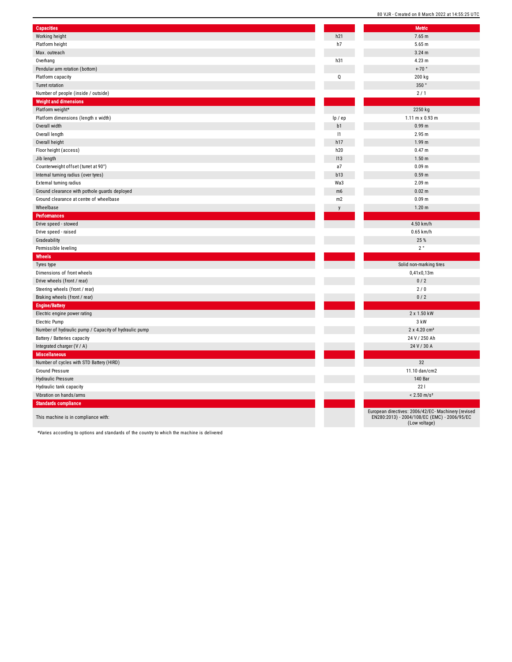| <b>Capacities</b>                                     |                | <b>Metric</b>                                      |
|-------------------------------------------------------|----------------|----------------------------------------------------|
| Working height                                        | h21            | 7.65 m                                             |
| Platform height                                       | h7             | 5.65 m                                             |
| Max. outreach                                         |                | 3.24 <sub>m</sub>                                  |
| Overhang                                              | h31            | 4.23 m                                             |
| Pendular arm rotation (bottom)                        |                | $+70$ °                                            |
| Platform capacity                                     | Q              | 200 kg                                             |
| <b>Turret rotation</b>                                |                | 350°                                               |
| Number of people (inside / outside)                   |                | 2/1                                                |
| <b>Weight and dimensions</b>                          |                |                                                    |
| Platform weight*                                      |                | 2250 kg                                            |
| Platform dimensions (length x width)                  | lp / ep        | 1.11 m x 0.93 m                                    |
| Overall width                                         | b1             | 0.99 <sub>m</sub>                                  |
| Overall length                                        | 1              | 2.95 m                                             |
| Overall height                                        | h17            | 1.99 <sub>m</sub>                                  |
| Floor height (access)                                 | h20            | 0.47 <sub>m</sub>                                  |
| Jib length                                            | 113            | 1.50 <sub>m</sub>                                  |
| Counterweight offset (turret at 90°)                  | a7             | 0.09 <sub>m</sub>                                  |
| Internal turning radius (over tyres)                  | b13            | 0.59 <sub>m</sub>                                  |
| External turning radius                               | Wa3            | 2.09 m                                             |
| Ground clearance with pothole guards deployed         | m <sub>6</sub> | 0.02 m                                             |
| Ground clearance at centre of wheelbase               | m2             | 0.09 <sub>m</sub>                                  |
| Wheelbase                                             | y              | 1.20 <sub>m</sub>                                  |
| <b>Performances</b>                                   |                |                                                    |
| Drive speed - stowed                                  |                | 4.50 km/h                                          |
| Drive speed - raised                                  |                | $0.65$ km/h                                        |
| Gradeability                                          |                | 25 %                                               |
| Permissible leveling                                  |                | $2^{\circ}$                                        |
| Wheels                                                |                |                                                    |
| Tyres type                                            |                | Solid non-marking ti                               |
| Dimensions of front wheels                            |                | 0,41x0,13m                                         |
| Drive wheels (front / rear)                           |                | 0/2                                                |
| Steering wheels (front / rear)                        |                | 2/0                                                |
| Braking wheels (front / rear)                         |                | 0/2                                                |
| <b>Engine/Battery</b>                                 |                |                                                    |
| Electric engine power rating                          |                | 2 x 1.50 kW                                        |
| Electric Pump                                         |                | 3 kW                                               |
| Number of hydraulic pump / Capacity of hydraulic pump |                | 2 x 4.20 cm <sup>3</sup>                           |
| Battery / Batteries capacity                          |                | 24 V / 250 Ah                                      |
| Integrated charger (V / A)                            |                | 24 V / 30 A                                        |
| <b>Miscellaneous</b>                                  |                |                                                    |
| Number of cycles with STD Battery (HIRD)              |                | 32                                                 |
| Ground Pressure                                       |                | 11.10 dan/cm2                                      |
| <b>Hydraulic Pressure</b>                             |                | 140 Bar                                            |
| Hydraulic tank capacity                               |                | 221                                                |
| Vibration on hands/arms                               |                | $< 2.50$ m/s <sup>2</sup>                          |
| <b>Standards compliance</b>                           |                |                                                    |
|                                                       |                | European directives: 2006/42/EC- M                 |
| This machine is in compliance with:                   |                | EN280:2013) - 2004/108/EC (EM<br>$(1$ our voltage) |

European directives: 2006/42/EC- Machinery (revised EN280:2013) - 2004/108/EC (EMC) - 2006/95/EC (Low voltage)

Solid non-marking tires

\*Varies according to options and standards of the country to which the machine is delivered

L

Г

L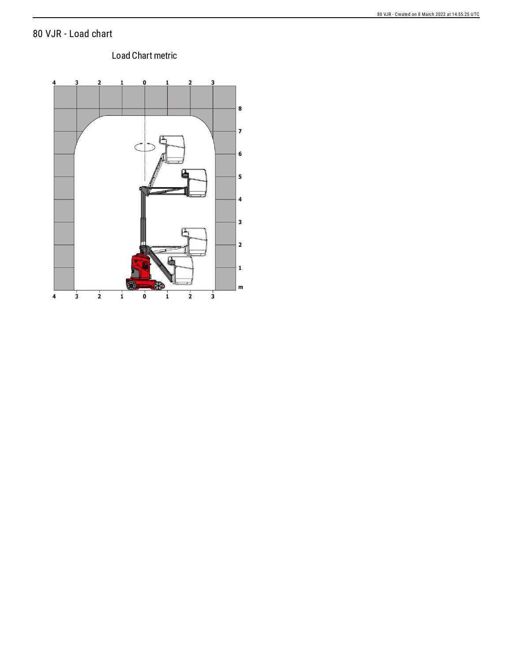## 80 VJR - Load chart

### Load Chart metric

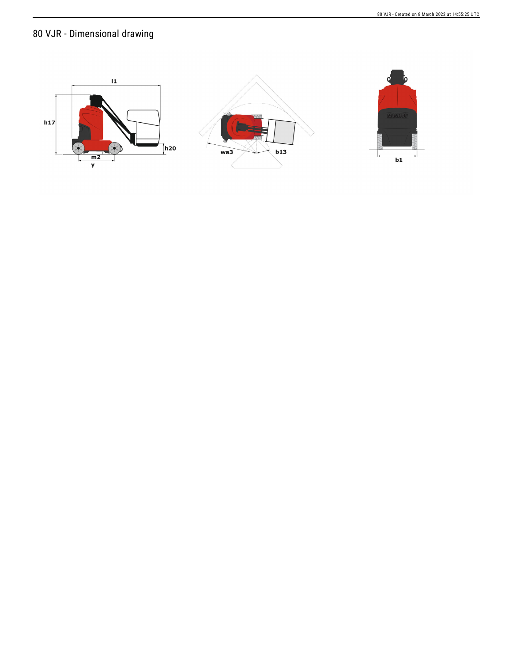# 80 VJR - Dimensional drawing

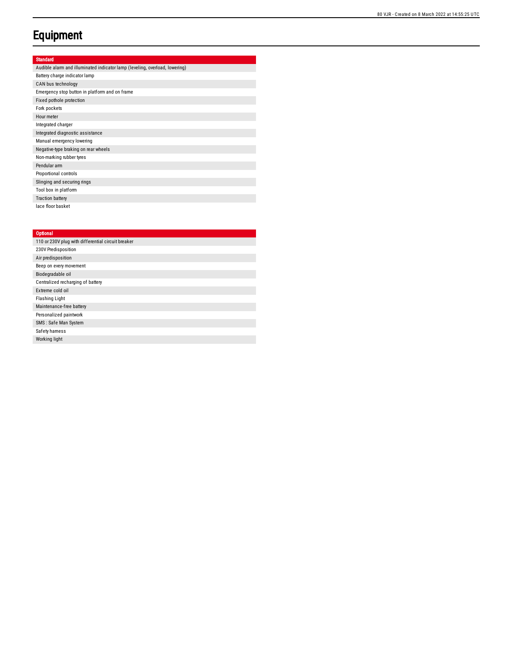# **Equipment**

### Standard

| Audible alarm and illuminated indicator lamp (leveling, overload, lowering) |
|-----------------------------------------------------------------------------|
| Battery charge indicator lamp                                               |
| CAN bus technology                                                          |
| Emergency stop button in platform and on frame                              |
| Fixed pothole protection                                                    |
| Fork pockets                                                                |
| Hour meter                                                                  |
| Integrated charger                                                          |
| Integrated diagnostic assistance                                            |
| Manual emergency lowering                                                   |
| Negative-type braking on rear wheels                                        |
| Non-marking rubber tyres                                                    |
| Pendular arm                                                                |
| Proportional controls                                                       |
| Slinging and securing rings                                                 |
| Tool box in platform                                                        |
| <b>Traction battery</b>                                                     |
| lace floor basket                                                           |

#### **Optional**

| 110 or 230V plug with differential circuit breaker |
|----------------------------------------------------|
| 230V Predisposition                                |
| Air predisposition                                 |
| Beep on every movement                             |
| Biodegradable oil                                  |
| Centralized recharging of battery                  |
| Extreme cold oil                                   |
| <b>Flashing Light</b>                              |
| Maintenance-free battery                           |
| Personalized paintwork                             |
| SMS: Safe Man System                               |
| Safety hamess                                      |
| Working light                                      |
|                                                    |